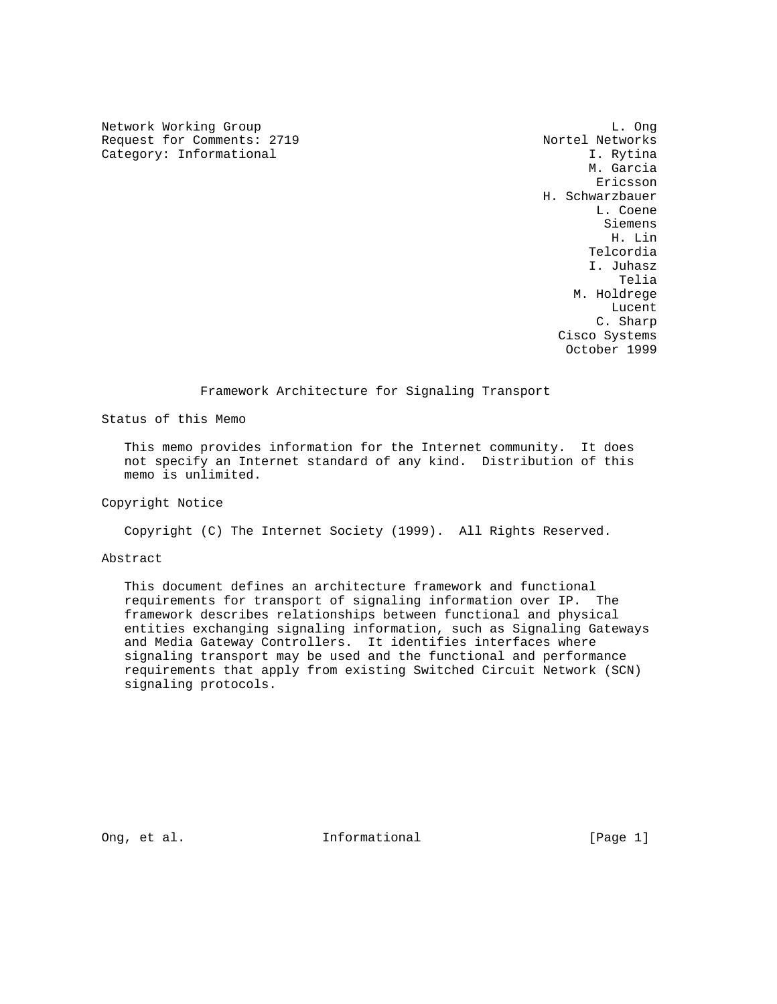Network Working Group and the contract of the contract of the contract of the contract of the contract of the contract of the contract of the contract of the contract of the contract of the contract of the contract of the Request for Comments: 2719 Nortel Networks<br>
Category: Informational 1. Rytina 1. Rytina Category: Informational

 M. Garcia ericsson and the contract of the contract of the contract of the contract of the contract of the contract of the contract of the contract of the contract of the contract of the contract of the contract of the contract of t H. Schwarzbauer L. Coene Siemens H. Lin Telcordia I. Juhasz na matangang kabupatèn Kabupatèn Bangsimuran Kabupatèn Kabupatèn Kabupatèn Kabupatèn Kabupatèn Kabupatèn Kabup M. Holdrege **Lucent** *Lucent Lucent Lucent*  C. Sharp Cisco Systems October 1999

## Framework Architecture for Signaling Transport

Status of this Memo

 This memo provides information for the Internet community. It does not specify an Internet standard of any kind. Distribution of this memo is unlimited.

Copyright Notice

Copyright (C) The Internet Society (1999). All Rights Reserved.

Abstract

 This document defines an architecture framework and functional requirements for transport of signaling information over IP. The framework describes relationships between functional and physical entities exchanging signaling information, such as Signaling Gateways and Media Gateway Controllers. It identifies interfaces where signaling transport may be used and the functional and performance requirements that apply from existing Switched Circuit Network (SCN) signaling protocols.

Ong, et al. **Informational** [Page 1]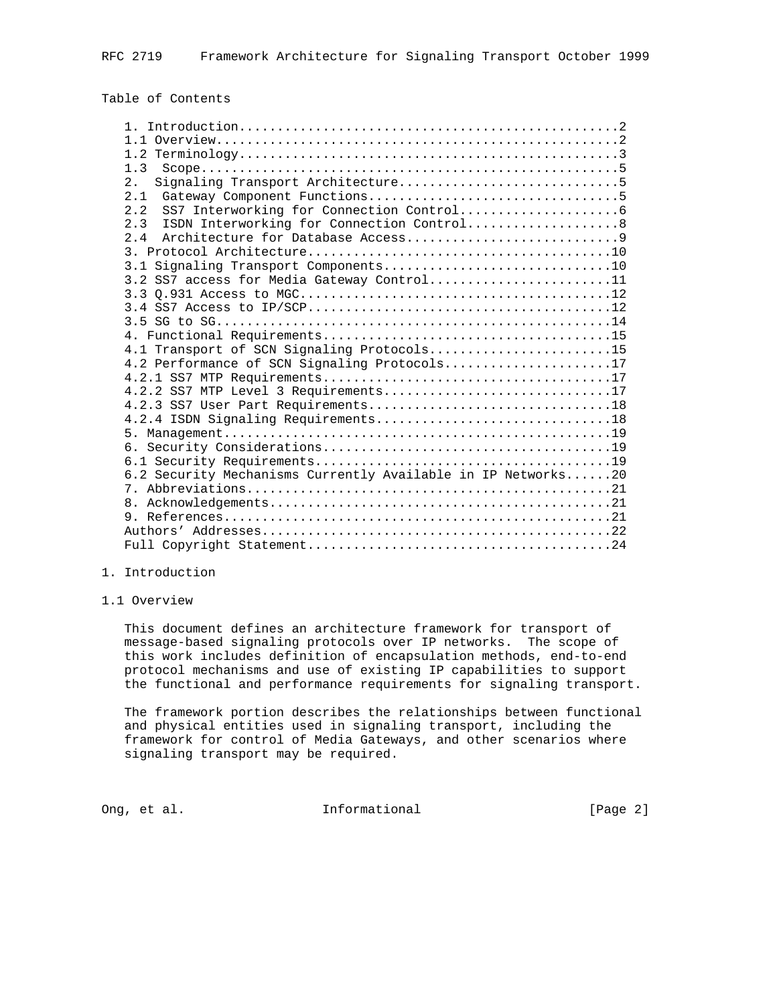# Table of Contents

| 1.3                                                          |
|--------------------------------------------------------------|
| 2.                                                           |
| 2.1                                                          |
| 2.2                                                          |
| 2.3<br>ISDN Interworking for Connection Control8             |
| 2.4                                                          |
|                                                              |
|                                                              |
| 3.2 SS7 access for Media Gateway Control11                   |
|                                                              |
|                                                              |
|                                                              |
|                                                              |
| 4.1 Transport of SCN Signaling Protocols15                   |
| 4.2 Performance of SCN Signaling Protocols17                 |
|                                                              |
| 4.2.2 SS7 MTP Level 3 Requirements17                         |
|                                                              |
|                                                              |
|                                                              |
|                                                              |
|                                                              |
| 6.2 Security Mechanisms Currently Available in IP Networks20 |
|                                                              |
|                                                              |
|                                                              |
|                                                              |
|                                                              |

# 1. Introduction

## 1.1 Overview

 This document defines an architecture framework for transport of message-based signaling protocols over IP networks. The scope of this work includes definition of encapsulation methods, end-to-end protocol mechanisms and use of existing IP capabilities to support the functional and performance requirements for signaling transport.

 The framework portion describes the relationships between functional and physical entities used in signaling transport, including the framework for control of Media Gateways, and other scenarios where signaling transport may be required.

Ong, et al. Informational [Page 2]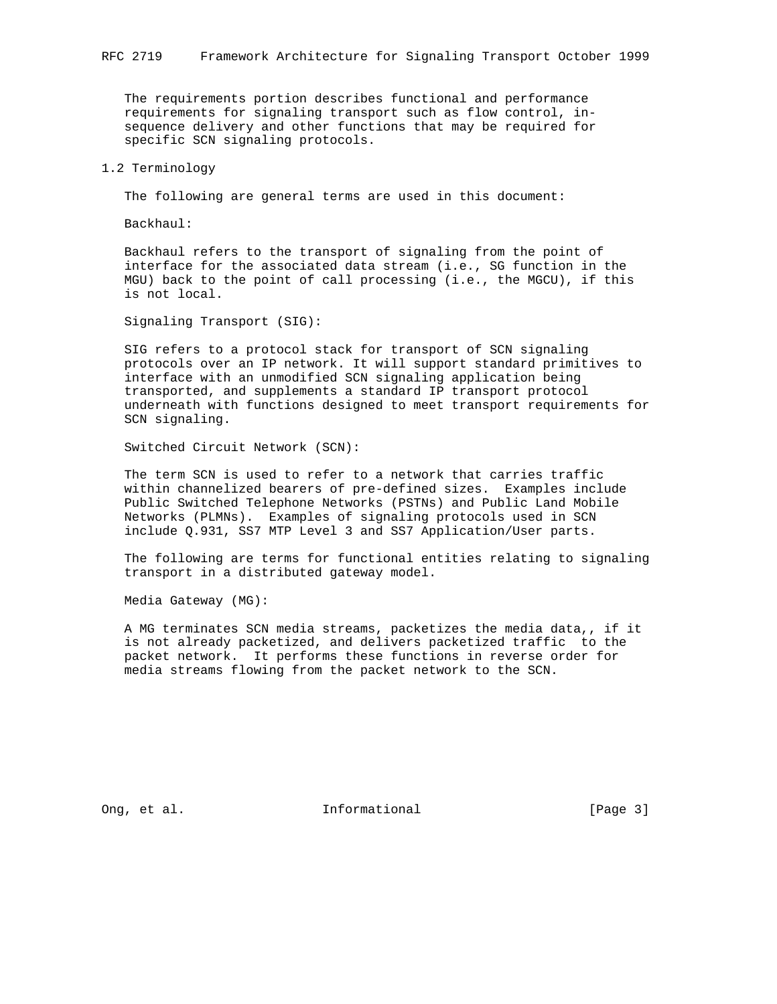The requirements portion describes functional and performance requirements for signaling transport such as flow control, in sequence delivery and other functions that may be required for specific SCN signaling protocols.

## 1.2 Terminology

The following are general terms are used in this document:

Backhaul:

 Backhaul refers to the transport of signaling from the point of interface for the associated data stream (i.e., SG function in the MGU) back to the point of call processing (i.e., the MGCU), if this is not local.

Signaling Transport (SIG):

 SIG refers to a protocol stack for transport of SCN signaling protocols over an IP network. It will support standard primitives to interface with an unmodified SCN signaling application being transported, and supplements a standard IP transport protocol underneath with functions designed to meet transport requirements for SCN signaling.

Switched Circuit Network (SCN):

 The term SCN is used to refer to a network that carries traffic within channelized bearers of pre-defined sizes. Examples include Public Switched Telephone Networks (PSTNs) and Public Land Mobile Networks (PLMNs). Examples of signaling protocols used in SCN include Q.931, SS7 MTP Level 3 and SS7 Application/User parts.

 The following are terms for functional entities relating to signaling transport in a distributed gateway model.

Media Gateway (MG):

 A MG terminates SCN media streams, packetizes the media data,, if it is not already packetized, and delivers packetized traffic to the packet network. It performs these functions in reverse order for media streams flowing from the packet network to the SCN.

Ong, et al. 10. Informational 1. [Page 3]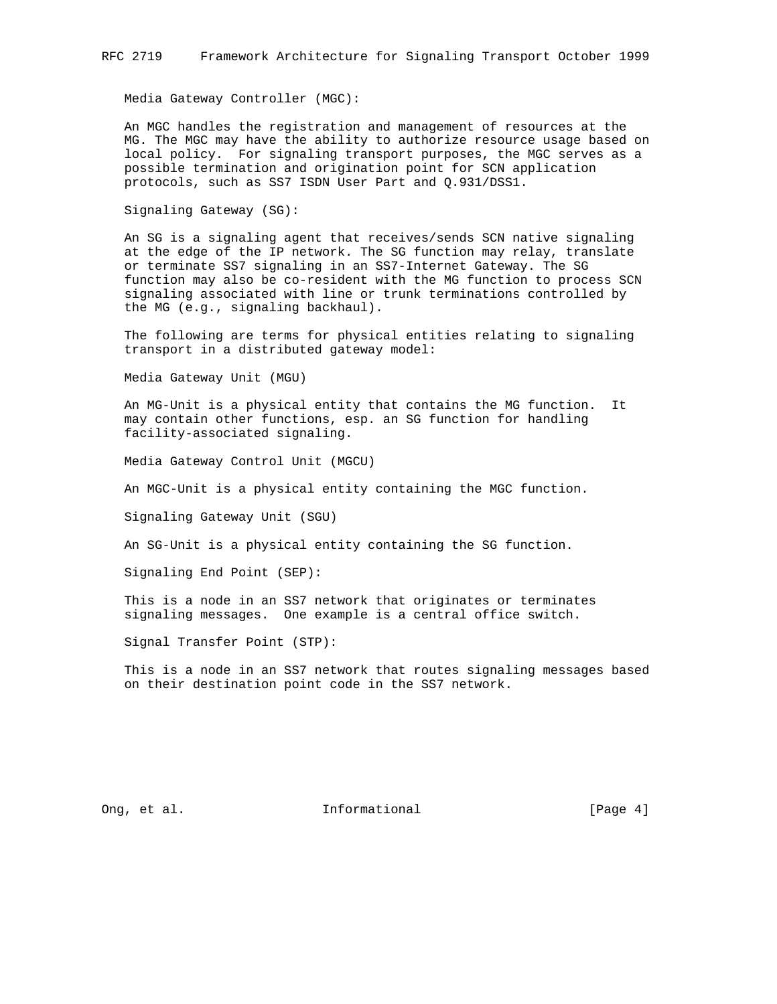Media Gateway Controller (MGC):

 An MGC handles the registration and management of resources at the MG. The MGC may have the ability to authorize resource usage based on local policy. For signaling transport purposes, the MGC serves as a possible termination and origination point for SCN application protocols, such as SS7 ISDN User Part and Q.931/DSS1.

Signaling Gateway (SG):

 An SG is a signaling agent that receives/sends SCN native signaling at the edge of the IP network. The SG function may relay, translate or terminate SS7 signaling in an SS7-Internet Gateway. The SG function may also be co-resident with the MG function to process SCN signaling associated with line or trunk terminations controlled by the MG (e.g., signaling backhaul).

 The following are terms for physical entities relating to signaling transport in a distributed gateway model:

Media Gateway Unit (MGU)

 An MG-Unit is a physical entity that contains the MG function. It may contain other functions, esp. an SG function for handling facility-associated signaling.

Media Gateway Control Unit (MGCU)

An MGC-Unit is a physical entity containing the MGC function.

Signaling Gateway Unit (SGU)

An SG-Unit is a physical entity containing the SG function.

Signaling End Point (SEP):

 This is a node in an SS7 network that originates or terminates signaling messages. One example is a central office switch.

Signal Transfer Point (STP):

 This is a node in an SS7 network that routes signaling messages based on their destination point code in the SS7 network.

Ong, et al. 10. Informational 1. [Page 4]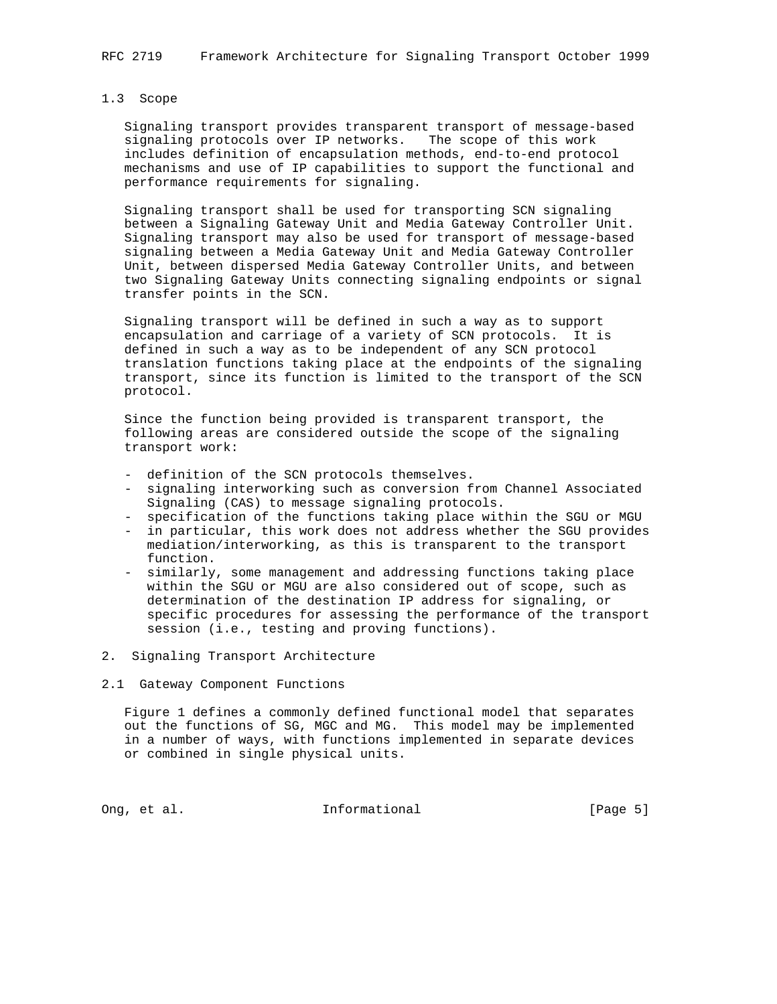## 1.3 Scope

 Signaling transport provides transparent transport of message-based signaling protocols over IP networks. The scope of this work includes definition of encapsulation methods, end-to-end protocol mechanisms and use of IP capabilities to support the functional and performance requirements for signaling.

 Signaling transport shall be used for transporting SCN signaling between a Signaling Gateway Unit and Media Gateway Controller Unit. Signaling transport may also be used for transport of message-based signaling between a Media Gateway Unit and Media Gateway Controller Unit, between dispersed Media Gateway Controller Units, and between two Signaling Gateway Units connecting signaling endpoints or signal transfer points in the SCN.

 Signaling transport will be defined in such a way as to support encapsulation and carriage of a variety of SCN protocols. It is defined in such a way as to be independent of any SCN protocol translation functions taking place at the endpoints of the signaling transport, since its function is limited to the transport of the SCN protocol.

 Since the function being provided is transparent transport, the following areas are considered outside the scope of the signaling transport work:

- definition of the SCN protocols themselves.
- signaling interworking such as conversion from Channel Associated Signaling (CAS) to message signaling protocols.
- specification of the functions taking place within the SGU or MGU
- in particular, this work does not address whether the SGU provides mediation/interworking, as this is transparent to the transport function.
- similarly, some management and addressing functions taking place within the SGU or MGU are also considered out of scope, such as determination of the destination IP address for signaling, or specific procedures for assessing the performance of the transport session (i.e., testing and proving functions).
- 2. Signaling Transport Architecture
- 2.1 Gateway Component Functions

 Figure 1 defines a commonly defined functional model that separates out the functions of SG, MGC and MG. This model may be implemented in a number of ways, with functions implemented in separate devices or combined in single physical units.

Ong, et al. 10. Informational 1. [Page 5]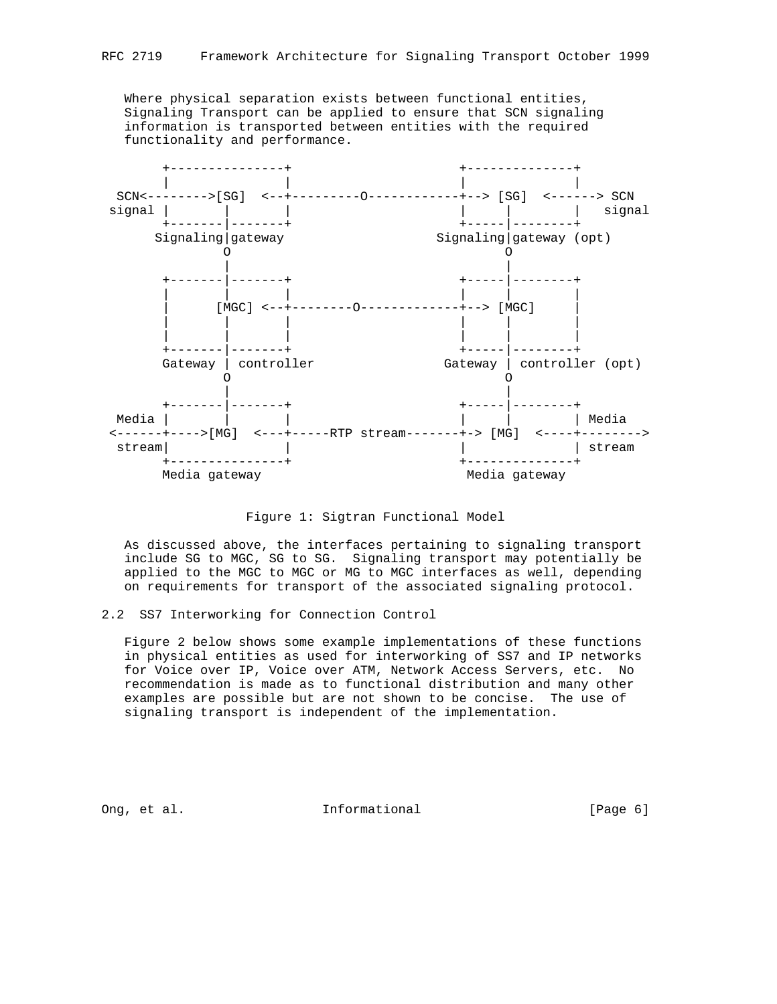Where physical separation exists between functional entities, Signaling Transport can be applied to ensure that SCN signaling information is transported between entities with the required functionality and performance.



Figure 1: Sigtran Functional Model

 As discussed above, the interfaces pertaining to signaling transport include SG to MGC, SG to SG. Signaling transport may potentially be applied to the MGC to MGC or MG to MGC interfaces as well, depending on requirements for transport of the associated signaling protocol.

### 2.2 SS7 Interworking for Connection Control

 Figure 2 below shows some example implementations of these functions in physical entities as used for interworking of SS7 and IP networks for Voice over IP, Voice over ATM, Network Access Servers, etc. No recommendation is made as to functional distribution and many other examples are possible but are not shown to be concise. The use of signaling transport is independent of the implementation.

Ong, et al. **Informational** (Page 6)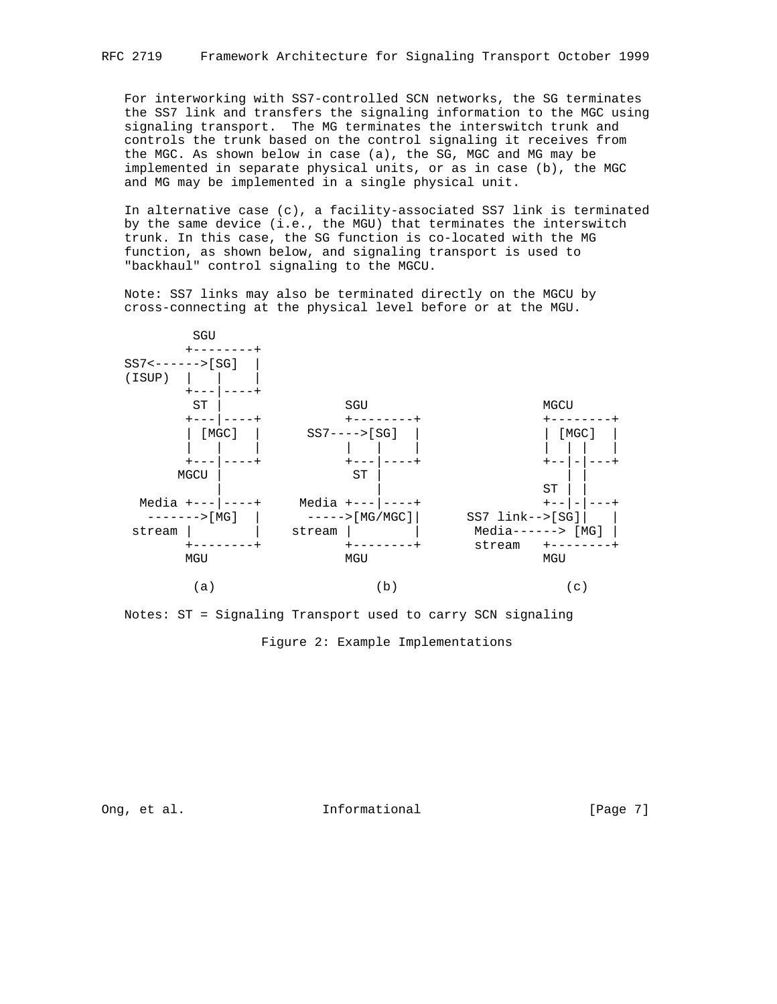For interworking with SS7-controlled SCN networks, the SG terminates the SS7 link and transfers the signaling information to the MGC using signaling transport. The MG terminates the interswitch trunk and controls the trunk based on the control signaling it receives from the MGC. As shown below in case (a), the SG, MGC and MG may be implemented in separate physical units, or as in case (b), the MGC and MG may be implemented in a single physical unit.

 In alternative case (c), a facility-associated SS7 link is terminated by the same device (i.e., the MGU) that terminates the interswitch trunk. In this case, the SG function is co-located with the MG function, as shown below, and signaling transport is used to "backhaul" control signaling to the MGCU.

 Note: SS7 links may also be terminated directly on the MGCU by cross-connecting at the physical level before or at the MGU.



 Notes: ST = Signaling Transport used to carry SCN signaling Figure 2: Example Implementations

Ong, et al. 10. Informational 1. [Page 7]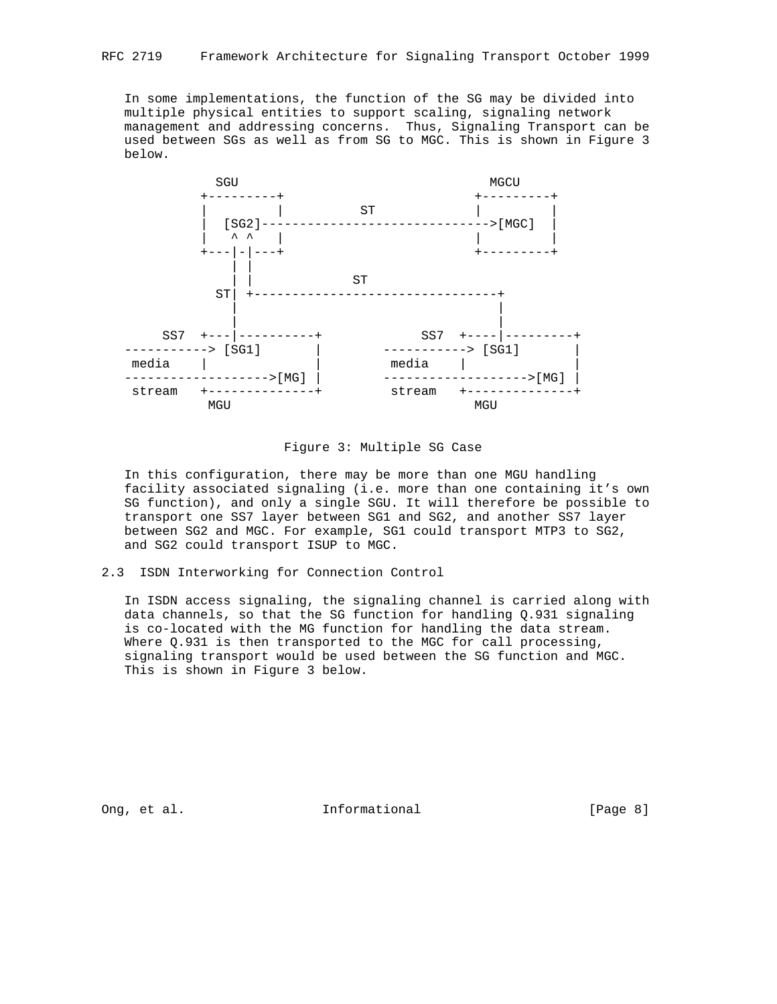In some implementations, the function of the SG may be divided into multiple physical entities to support scaling, signaling network management and addressing concerns. Thus, Signaling Transport can be used between SGs as well as from SG to MGC. This is shown in Figure 3 below.



Figure 3: Multiple SG Case

 In this configuration, there may be more than one MGU handling facility associated signaling (i.e. more than one containing it's own SG function), and only a single SGU. It will therefore be possible to transport one SS7 layer between SG1 and SG2, and another SS7 layer between SG2 and MGC. For example, SG1 could transport MTP3 to SG2, and SG2 could transport ISUP to MGC.

## 2.3 ISDN Interworking for Connection Control

 In ISDN access signaling, the signaling channel is carried along with data channels, so that the SG function for handling Q.931 signaling is co-located with the MG function for handling the data stream. Where Q.931 is then transported to the MGC for call processing, signaling transport would be used between the SG function and MGC. This is shown in Figure 3 below.

Ong, et al. 10. Informational 1. The league 8]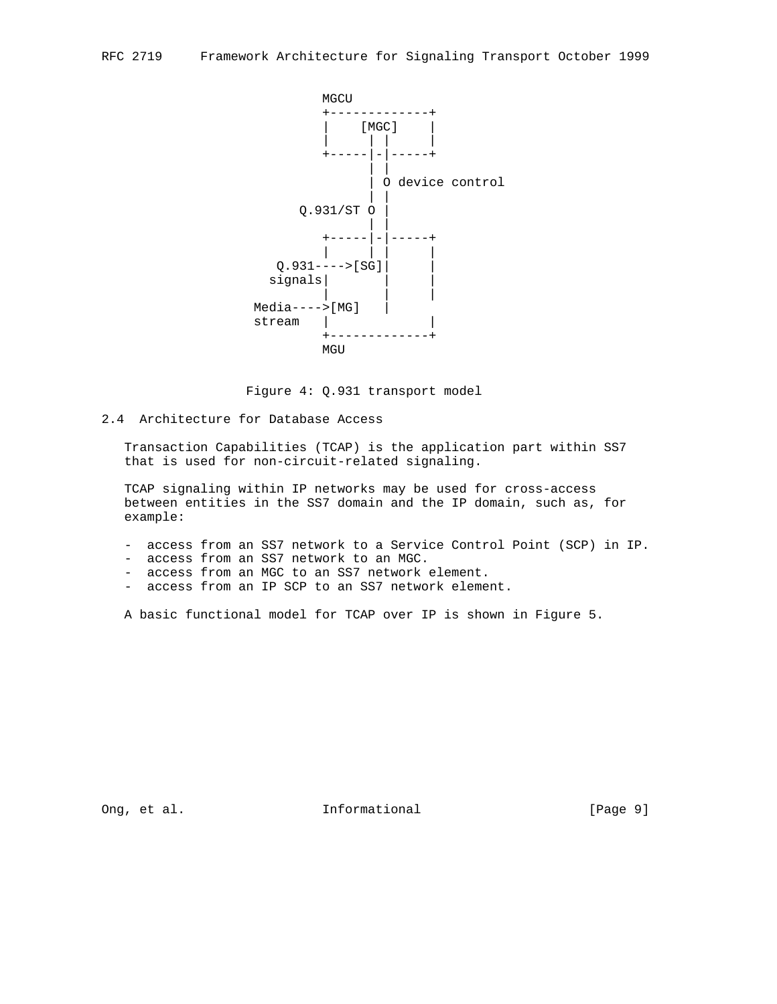

Figure 4: Q.931 transport model

# 2.4 Architecture for Database Access

 Transaction Capabilities (TCAP) is the application part within SS7 that is used for non-circuit-related signaling.

 TCAP signaling within IP networks may be used for cross-access between entities in the SS7 domain and the IP domain, such as, for example:

- access from an SS7 network to a Service Control Point (SCP) in IP.
- access from an SS7 network to an MGC.
- access from an MGC to an SS7 network element.
- access from an IP SCP to an SS7 network element.

A basic functional model for TCAP over IP is shown in Figure 5.

Ong, et al. 1000 and 1000 and 1000 and 1000 and 1000 and 1000 and 1000 and 1000 and 1000 and 1000 and 1000 and 1000 and 1000 and 1000 and 1000 and 1000 and 1000 and 1000 and 1000 and 1000 and 1000 and 1000 and 1000 and 100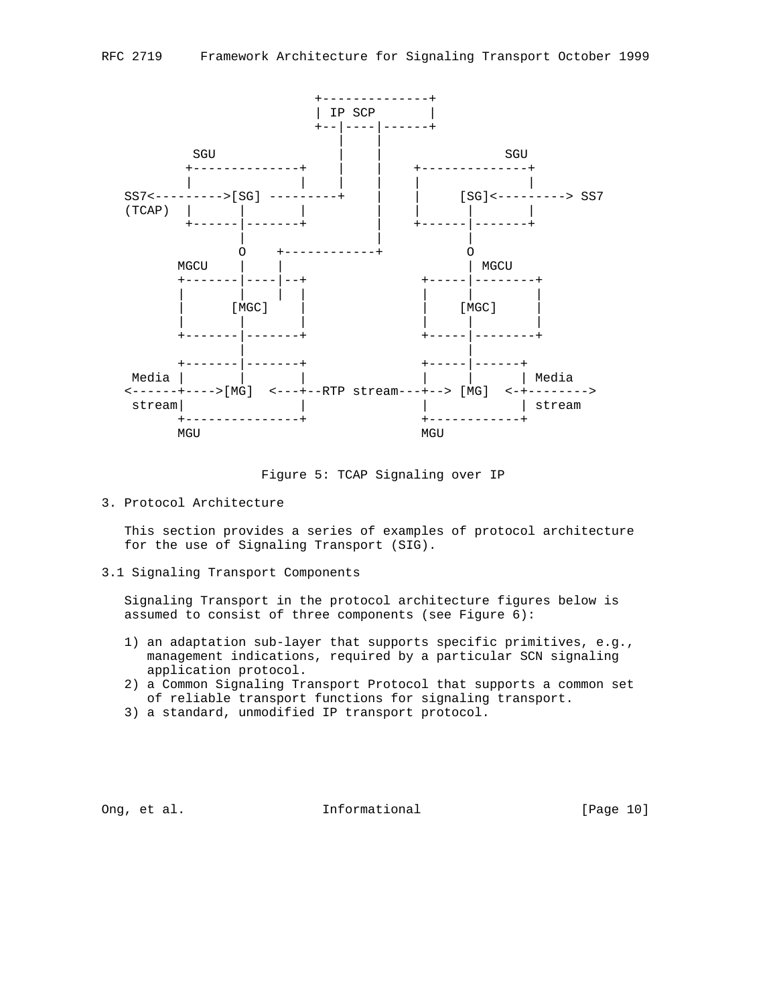

Figure 5: TCAP Signaling over IP

3. Protocol Architecture

 This section provides a series of examples of protocol architecture for the use of Signaling Transport (SIG).

3.1 Signaling Transport Components

 Signaling Transport in the protocol architecture figures below is assumed to consist of three components (see Figure 6):

- 1) an adaptation sub-layer that supports specific primitives, e.g., management indications, required by a particular SCN signaling application protocol.
- 2) a Common Signaling Transport Protocol that supports a common set of reliable transport functions for signaling transport.
- 3) a standard, unmodified IP transport protocol.

Ong, et al. 10. Informational 1. [Page 10]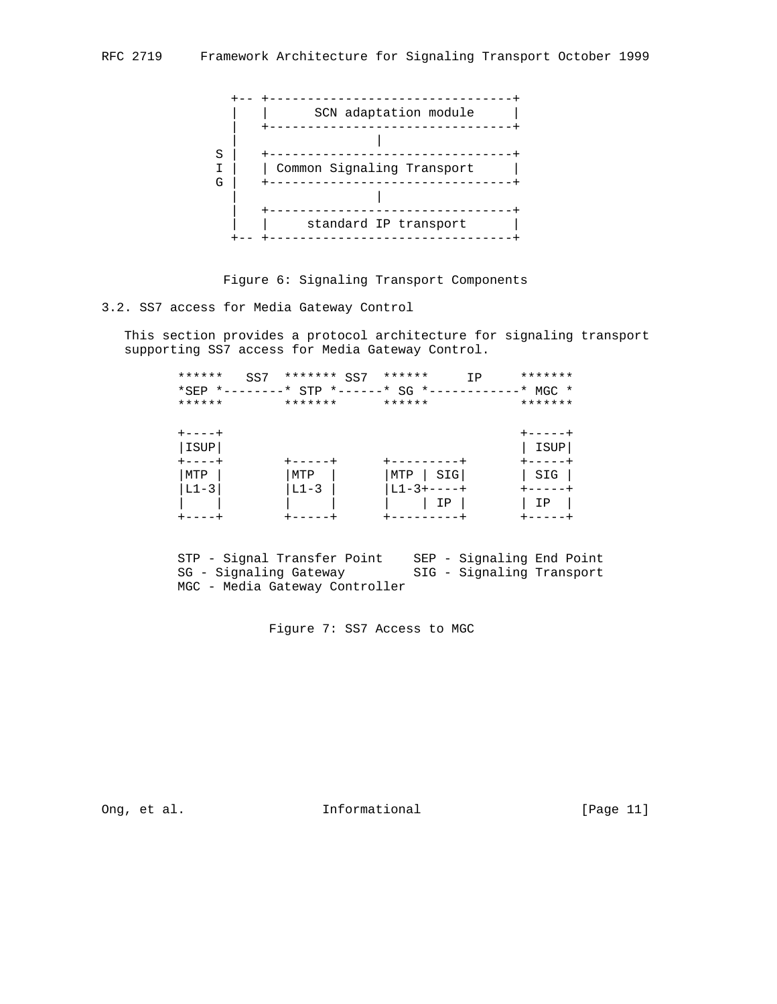

Figure 6: Signaling Transport Components

3.2. SS7 access for Media Gateway Control

 This section provides a protocol architecture for signaling transport supporting SS7 access for Media Gateway Control.

| ******<br>SS7<br>*SEP *--------<br>****** | ******* SS7<br>* STP *------* SG *-<br>******* | ******<br>ΙP<br>******                 | *******<br>$*$ MGC $*$<br>******* |
|-------------------------------------------|------------------------------------------------|----------------------------------------|-----------------------------------|
| ----+<br>ISUP                             |                                                |                                        | ISUP                              |
| ----+<br>MTP<br>$L1-3$                    | +----<br>MTP<br>$L1-3$                         | SIG<br>MTP<br>$L1 - 3 + - - - +$<br>IΡ | SIG<br>ΙP                         |

 STP - Signal Transfer Point SEP - Signaling End Point SG - Signaling Gateway SIG - Signaling Transport MGC - Media Gateway Controller

Figure 7: SS7 Access to MGC

Ong, et al. 10. Informational 1. [Page 11]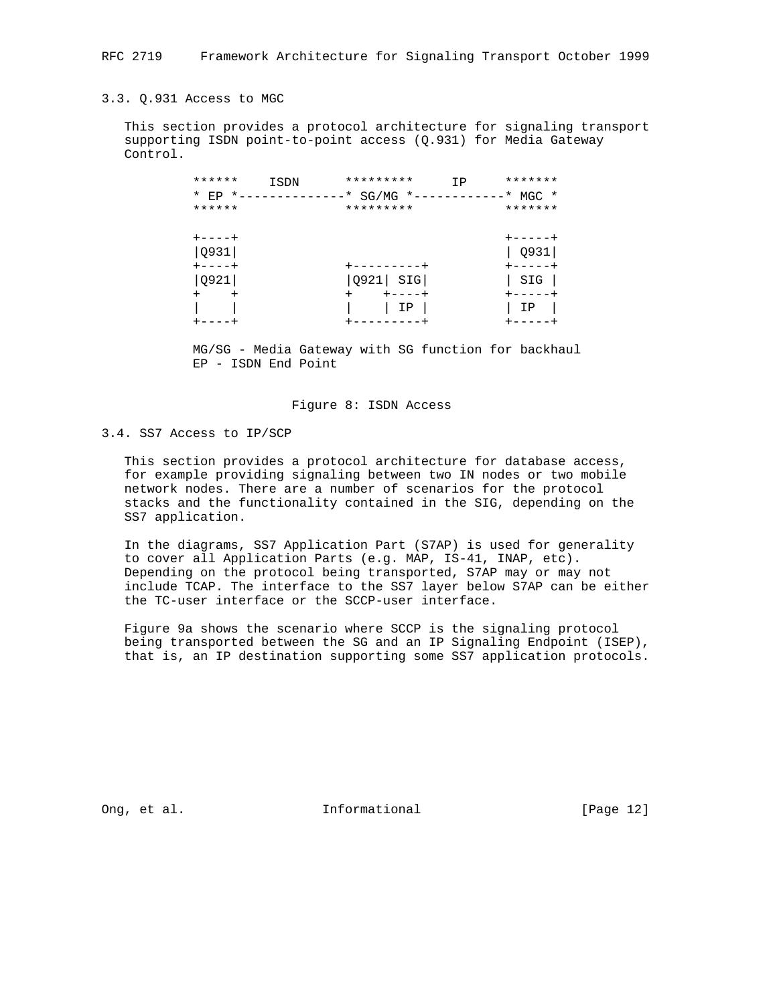#### 3.3. Q.931 Access to MGC

 This section provides a protocol architecture for signaling transport supporting ISDN point-to-point access (Q.931) for Media Gateway Control.

| ******<br>$*$ EP $*$ -<br>******           | ISDN | *********<br>SG/MG<br>*<br>$*$ $-$<br>********* | ΙP | *******<br>$\ast$<br>$MGC$ *<br>******* |
|--------------------------------------------|------|-------------------------------------------------|----|-----------------------------------------|
| $+ - - - - +$<br>Q931<br>$+ - - - - +$     |      |                                                 |    | Q931<br>----                            |
| <b>Q921</b><br>$\ddot{}$<br>$\overline{+}$ |      | SIG<br>Q921<br>$+ - - - +$                      |    | SIG<br>$+ - - - - +$                    |
|                                            |      | ΙP                                              |    | ΙP                                      |

 MG/SG - Media Gateway with SG function for backhaul EP - ISDN End Point

### Figure 8: ISDN Access

### 3.4. SS7 Access to IP/SCP

 This section provides a protocol architecture for database access, for example providing signaling between two IN nodes or two mobile network nodes. There are a number of scenarios for the protocol stacks and the functionality contained in the SIG, depending on the SS7 application.

 In the diagrams, SS7 Application Part (S7AP) is used for generality to cover all Application Parts (e.g. MAP, IS-41, INAP, etc). Depending on the protocol being transported, S7AP may or may not include TCAP. The interface to the SS7 layer below S7AP can be either the TC-user interface or the SCCP-user interface.

 Figure 9a shows the scenario where SCCP is the signaling protocol being transported between the SG and an IP Signaling Endpoint (ISEP), that is, an IP destination supporting some SS7 application protocols.

Ong, et al. 10. Informational 1. [Page 12]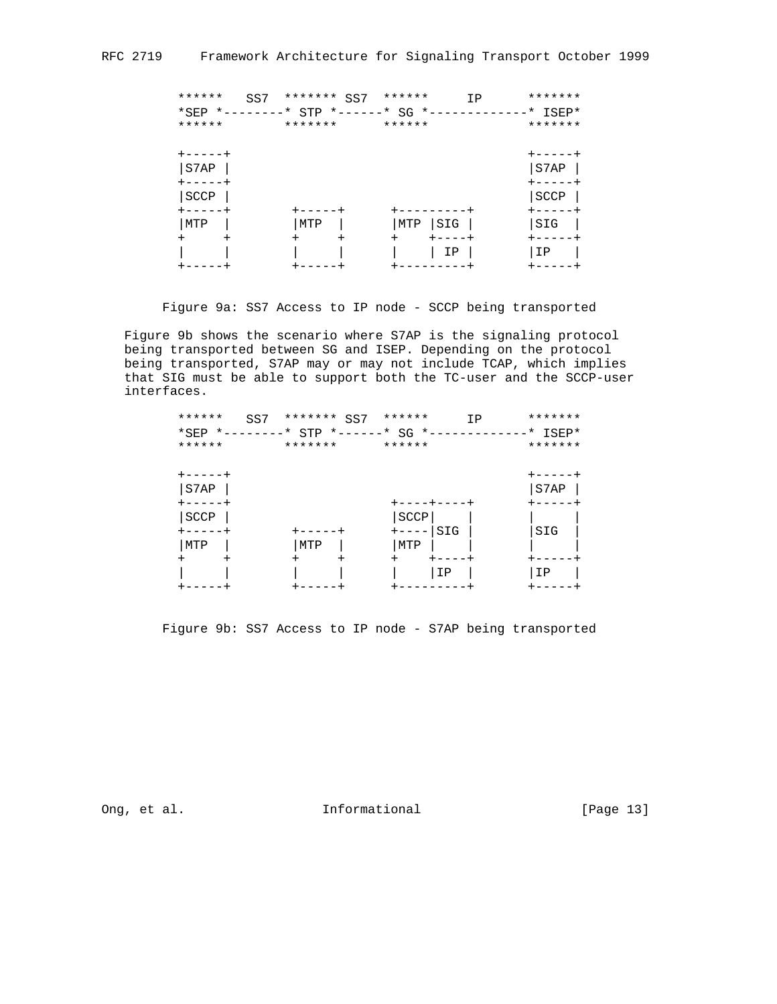|          | ******<br>SS7<br>****** | *******<br>SS7<br>*SEP *--------* STP *------* SG *-<br>******* | ******<br>******         | IP | *******<br>$*$ ISEP*<br>******* |
|----------|-------------------------|-----------------------------------------------------------------|--------------------------|----|---------------------------------|
|          | $+ - - - - - +$<br>S7AP |                                                                 |                          |    | S7AP                            |
|          | SCCP                    |                                                                 |                          |    | SCCP                            |
| MTP      |                         | MTP                                                             | -----<br>SIG<br>MTP      |    | SIG                             |
| $\,{}^+$ | +                       | $\,{}^+$<br>$^+$                                                | $\ddot{}$<br>----+<br>ΙP |    | ΙP                              |

Figure 9a: SS7 Access to IP node - SCCP being transported

 Figure 9b shows the scenario where S7AP is the signaling protocol being transported between SG and ISEP. Depending on the protocol being transported, S7AP may or may not include TCAP, which implies that SIG must be able to support both the TC-user and the SCCP-user interfaces.

| ******<br>SS7<br>*SEP *--------* STP<br>****** | ******* SS7<br>******* | ******<br>*------* SG *<br>****** | *******<br>ΙP<br>$*$ ISEP $*$<br>******* |
|------------------------------------------------|------------------------|-----------------------------------|------------------------------------------|
| S7AP                                           |                        | ----+---                          | S7AP                                     |
| <b>SCCP</b><br>MTP                             | MTP                    | SCCP<br>SIG<br>$+ - - - -$<br>MTP | SIG                                      |
| $\pm$<br>٠                                     | +<br>$\pm$             | $\ddot{}$<br>ΙP                   | ΙP                                       |

Figure 9b: SS7 Access to IP node - S7AP being transported

Ong, et al. **Informational** [Page 13]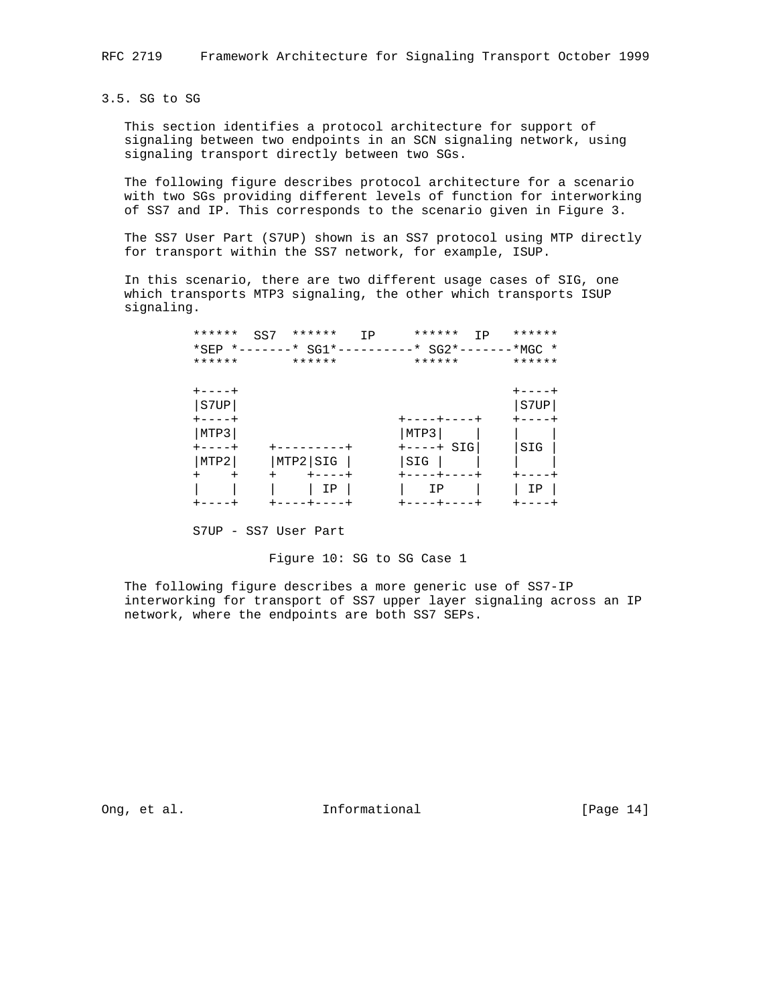3.5. SG to SG

 This section identifies a protocol architecture for support of signaling between two endpoints in an SCN signaling network, using signaling transport directly between two SGs.

 The following figure describes protocol architecture for a scenario with two SGs providing different levels of function for interworking of SS7 and IP. This corresponds to the scenario given in Figure 3.

 The SS7 User Part (S7UP) shown is an SS7 protocol using MTP directly for transport within the SS7 network, for example, ISUP.

 In this scenario, there are two different usage cases of SIG, one which transports MTP3 signaling, the other which transports ISUP signaling.

|        | ******<br>SS7    | ******<br>IP            | ******<br>TP                                     | ******        |
|--------|------------------|-------------------------|--------------------------------------------------|---------------|
|        |                  |                         | *SEP *-------* SG1*----------* SG2*-------*MGC * |               |
|        | ******           | ******                  | ******                                           | ******        |
|        |                  |                         |                                                  |               |
|        | $+ - - - - +$    |                         |                                                  | $+ - - - - +$ |
|        | S7UP             |                         |                                                  | S7UP          |
|        | $+ - - - - +$    |                         | +----+----+                                      |               |
|        | MTP3             |                         | MTP3                                             |               |
|        | $+ - - - - +$    | --------                | $+ - - - + SIG$                                  | SIG           |
|        | MTP2             | MTP2 SIG                | SIG                                              |               |
| $^{+}$ | $\ddot{}$<br>$+$ | $+ - - - - +$           |                                                  |               |
|        |                  | ΙP                      | ΙP                                               | ΙP            |
|        |                  | $+ - - - - + - - - - +$ | +----+----+                                      |               |

S7UP - SS7 User Part

### Figure 10: SG to SG Case 1

 The following figure describes a more generic use of SS7-IP interworking for transport of SS7 upper layer signaling across an IP network, where the endpoints are both SS7 SEPs.

Ong, et al. 10. Informational 1. [Page 14]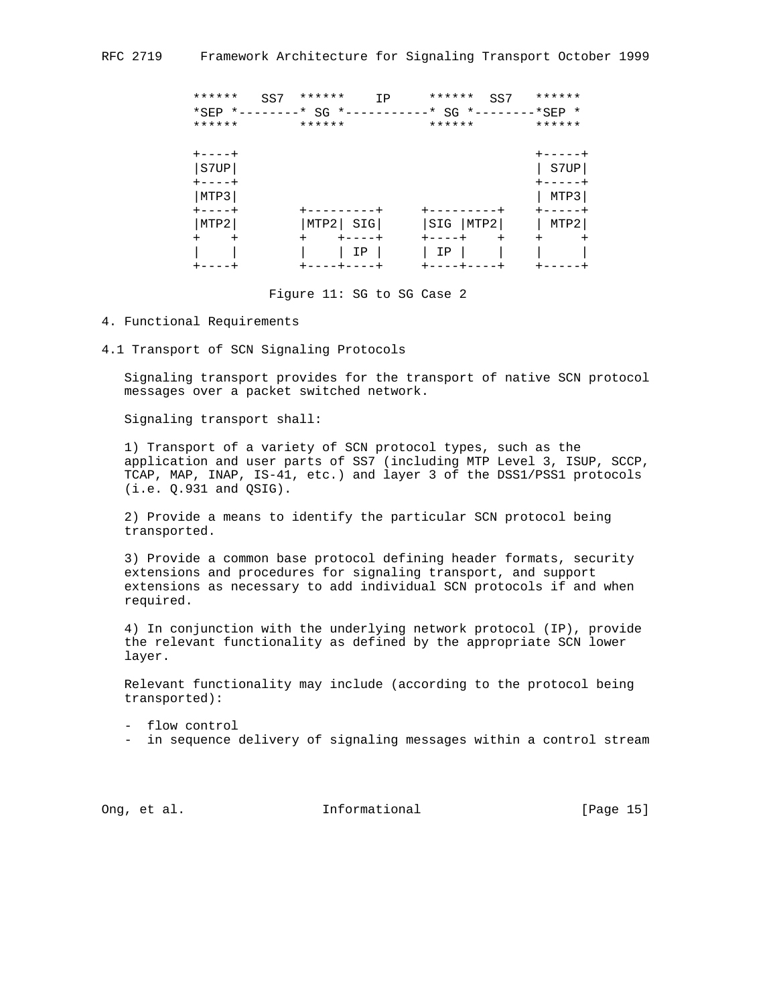| ******<br>******             | ******<br>SS7<br>IP<br>*SEP *--------* SG *------------* SG *--------*SEP *<br>****** | ******<br>SS7<br>******  | ******<br>******  |
|------------------------------|---------------------------------------------------------------------------------------|--------------------------|-------------------|
| $+ - - - - +$                |                                                                                       |                          |                   |
| S7UP                         |                                                                                       |                          | S7UP              |
| ----+<br>MTP3<br>$+ - - - +$ |                                                                                       | ------                   | MTP3              |
| MTP2<br>$\overline{+}$       | SIG<br>MTP2                                                                           | SIG<br>MTP2<br>$\ddot{}$ | MTP2<br>$\ddot{}$ |
| $\,{}^+$                     | ΙP                                                                                    | IΡ<br>----+-             | +                 |

Figure 11: SG to SG Case 2

- 4. Functional Requirements
- 4.1 Transport of SCN Signaling Protocols

 Signaling transport provides for the transport of native SCN protocol messages over a packet switched network.

Signaling transport shall:

 1) Transport of a variety of SCN protocol types, such as the application and user parts of SS7 (including MTP Level 3, ISUP, SCCP, TCAP, MAP, INAP, IS-41, etc.) and layer 3 of the DSS1/PSS1 protocols (i.e. Q.931 and QSIG).

 2) Provide a means to identify the particular SCN protocol being transported.

 3) Provide a common base protocol defining header formats, security extensions and procedures for signaling transport, and support extensions as necessary to add individual SCN protocols if and when required.

 4) In conjunction with the underlying network protocol (IP), provide the relevant functionality as defined by the appropriate SCN lower layer.

 Relevant functionality may include (according to the protocol being transported):

- flow control

- in sequence delivery of signaling messages within a control stream

Ong, et al. 10. Informational 1. [Page 15]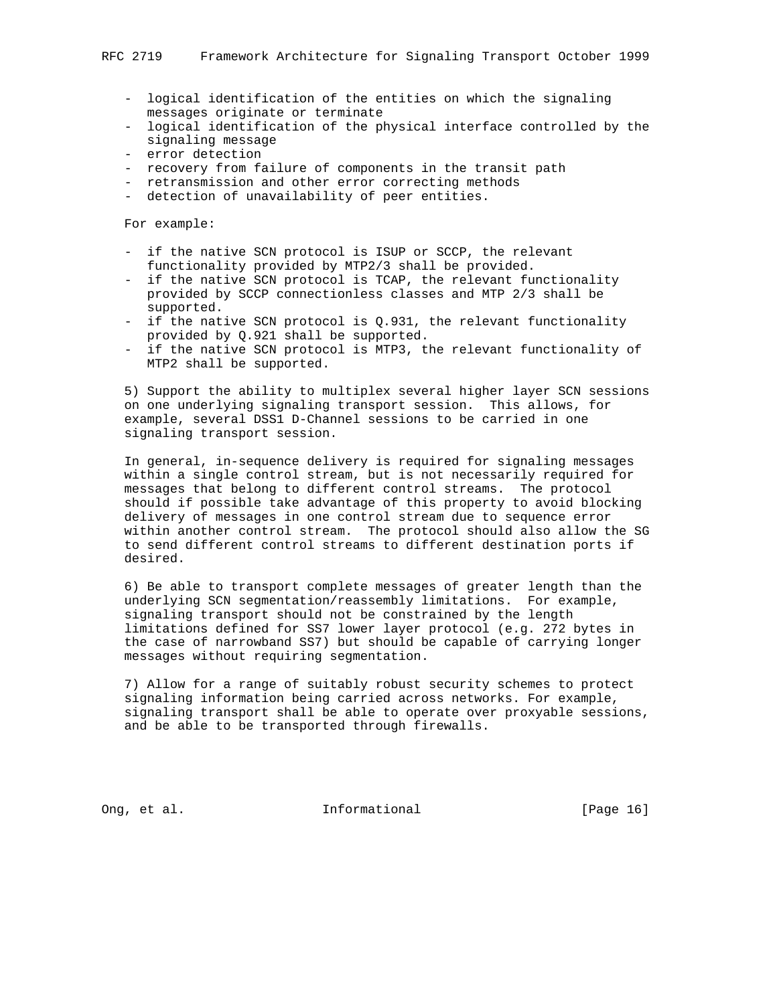- logical identification of the entities on which the signaling messages originate or terminate
- logical identification of the physical interface controlled by the signaling message
- error detection
- recovery from failure of components in the transit path
- retransmission and other error correcting methods
- detection of unavailability of peer entities.

For example:

- if the native SCN protocol is ISUP or SCCP, the relevant functionality provided by MTP2/3 shall be provided.
- if the native SCN protocol is TCAP, the relevant functionality provided by SCCP connectionless classes and MTP 2/3 shall be supported.
- if the native SCN protocol is Q.931, the relevant functionality provided by Q.921 shall be supported.
- if the native SCN protocol is MTP3, the relevant functionality of MTP2 shall be supported.

 5) Support the ability to multiplex several higher layer SCN sessions on one underlying signaling transport session. This allows, for example, several DSS1 D-Channel sessions to be carried in one signaling transport session.

 In general, in-sequence delivery is required for signaling messages within a single control stream, but is not necessarily required for messages that belong to different control streams. The protocol should if possible take advantage of this property to avoid blocking delivery of messages in one control stream due to sequence error within another control stream. The protocol should also allow the SG to send different control streams to different destination ports if desired.

 6) Be able to transport complete messages of greater length than the underlying SCN segmentation/reassembly limitations. For example, signaling transport should not be constrained by the length limitations defined for SS7 lower layer protocol (e.g. 272 bytes in the case of narrowband SS7) but should be capable of carrying longer messages without requiring segmentation.

 7) Allow for a range of suitably robust security schemes to protect signaling information being carried across networks. For example, signaling transport shall be able to operate over proxyable sessions, and be able to be transported through firewalls.

Ong, et al. 10. Informational 1. [Page 16]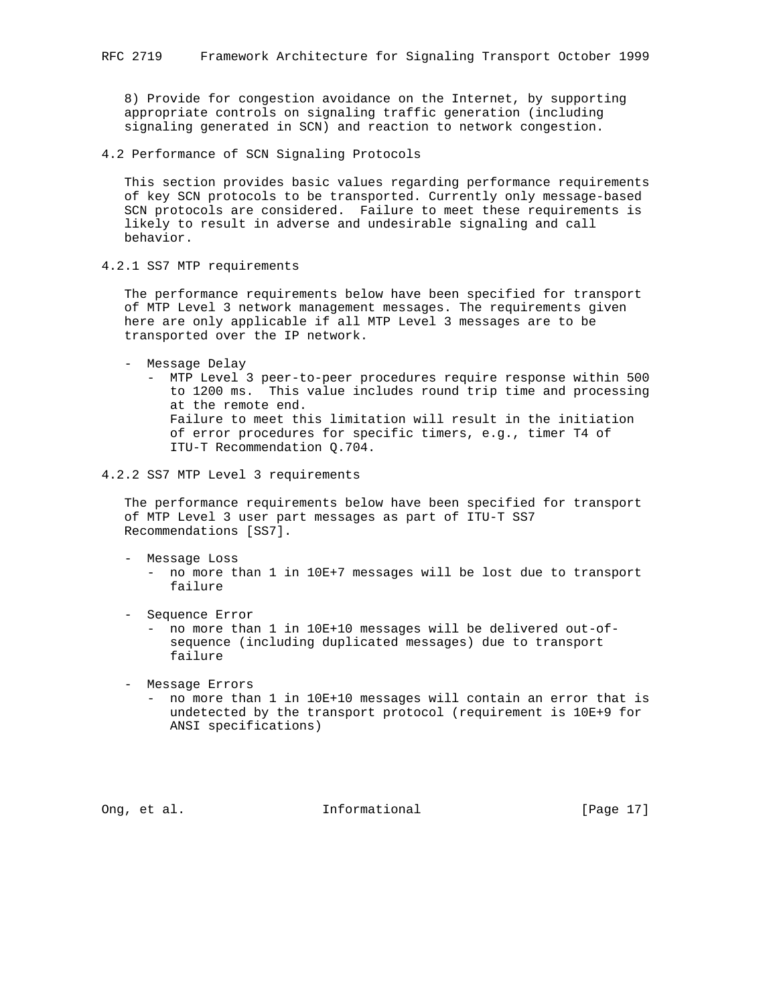8) Provide for congestion avoidance on the Internet, by supporting appropriate controls on signaling traffic generation (including signaling generated in SCN) and reaction to network congestion.

4.2 Performance of SCN Signaling Protocols

 This section provides basic values regarding performance requirements of key SCN protocols to be transported. Currently only message-based SCN protocols are considered. Failure to meet these requirements is likely to result in adverse and undesirable signaling and call behavior.

4.2.1 SS7 MTP requirements

 The performance requirements below have been specified for transport of MTP Level 3 network management messages. The requirements given here are only applicable if all MTP Level 3 messages are to be transported over the IP network.

- Message Delay
	- MTP Level 3 peer-to-peer procedures require response within 500 to 1200 ms. This value includes round trip time and processing at the remote end. Failure to meet this limitation will result in the initiation of error procedures for specific timers, e.g., timer T4 of ITU-T Recommendation Q.704.

4.2.2 SS7 MTP Level 3 requirements

 The performance requirements below have been specified for transport of MTP Level 3 user part messages as part of ITU-T SS7 Recommendations [SS7].

- Message Loss
	- no more than 1 in 10E+7 messages will be lost due to transport failure
- Sequence Error

 - no more than 1 in 10E+10 messages will be delivered out-of sequence (including duplicated messages) due to transport failure

- Message Errors
	- no more than 1 in 10E+10 messages will contain an error that is undetected by the transport protocol (requirement is 10E+9 for ANSI specifications)

Ong, et al. **Informational** [Page 17]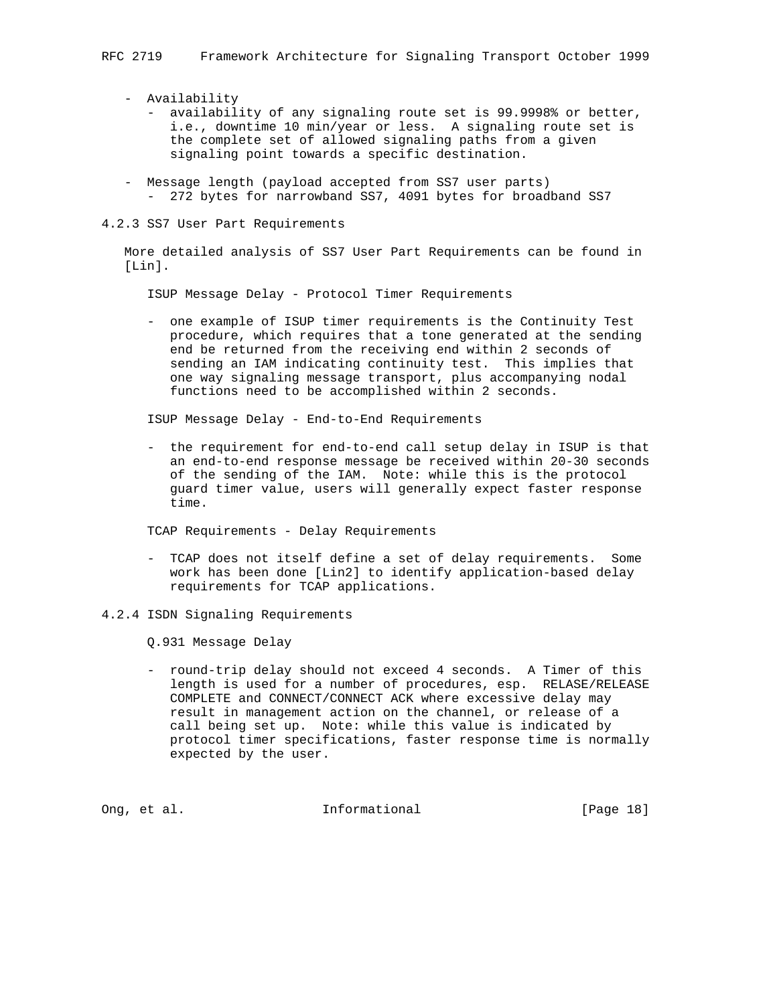- Availability
	- availability of any signaling route set is 99.9998% or better, i.e., downtime 10 min/year or less. A signaling route set is the complete set of allowed signaling paths from a given signaling point towards a specific destination.
- Message length (payload accepted from SS7 user parts) - 272 bytes for narrowband SS7, 4091 bytes for broadband SS7
- 4.2.3 SS7 User Part Requirements

 More detailed analysis of SS7 User Part Requirements can be found in [Lin].

ISUP Message Delay - Protocol Timer Requirements

 - one example of ISUP timer requirements is the Continuity Test procedure, which requires that a tone generated at the sending end be returned from the receiving end within 2 seconds of sending an IAM indicating continuity test. This implies that one way signaling message transport, plus accompanying nodal functions need to be accomplished within 2 seconds.

ISUP Message Delay - End-to-End Requirements

 - the requirement for end-to-end call setup delay in ISUP is that an end-to-end response message be received within 20-30 seconds of the sending of the IAM. Note: while this is the protocol guard timer value, users will generally expect faster response time.

TCAP Requirements - Delay Requirements

- TCAP does not itself define a set of delay requirements. Some work has been done [Lin2] to identify application-based delay requirements for TCAP applications.
- 4.2.4 ISDN Signaling Requirements

Q.931 Message Delay

 - round-trip delay should not exceed 4 seconds. A Timer of this length is used for a number of procedures, esp. RELASE/RELEASE COMPLETE and CONNECT/CONNECT ACK where excessive delay may result in management action on the channel, or release of a call being set up. Note: while this value is indicated by protocol timer specifications, faster response time is normally expected by the user.

Ong, et al. **Informational** [Page 18]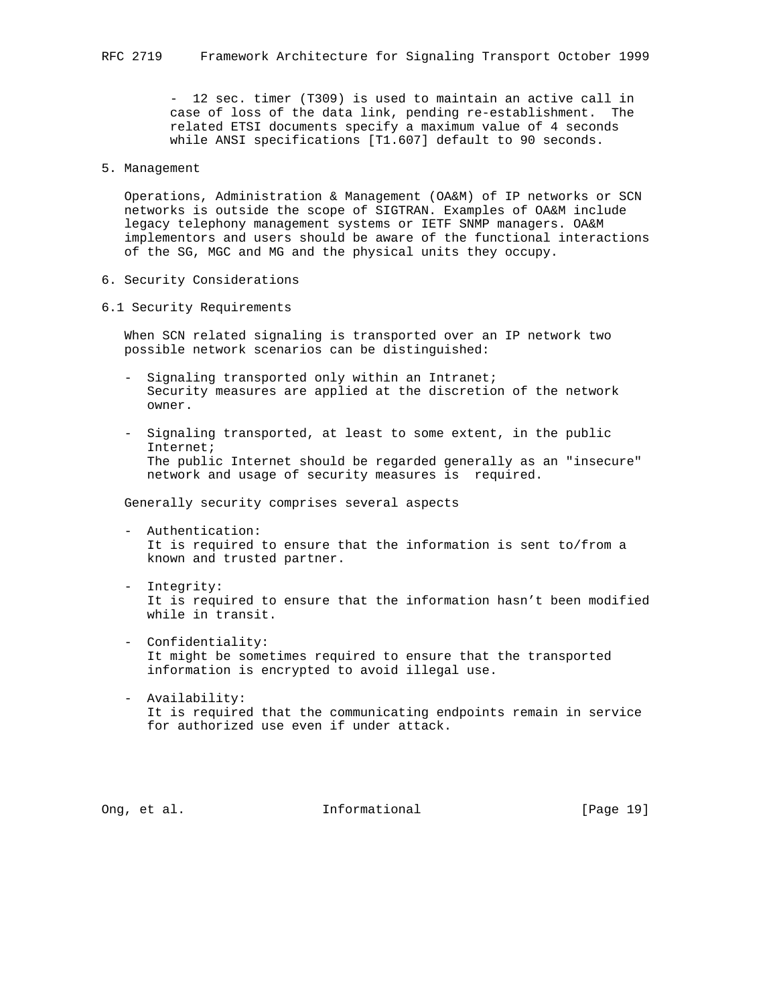- 12 sec. timer (T309) is used to maintain an active call in case of loss of the data link, pending re-establishment. The related ETSI documents specify a maximum value of 4 seconds while ANSI specifications [T1.607] default to 90 seconds.

5. Management

 Operations, Administration & Management (OA&M) of IP networks or SCN networks is outside the scope of SIGTRAN. Examples of OA&M include legacy telephony management systems or IETF SNMP managers. OA&M implementors and users should be aware of the functional interactions of the SG, MGC and MG and the physical units they occupy.

- 6. Security Considerations
- 6.1 Security Requirements

 When SCN related signaling is transported over an IP network two possible network scenarios can be distinguished:

- Signaling transported only within an Intranet; Security measures are applied at the discretion of the network owner.
- Signaling transported, at least to some extent, in the public Internet; The public Internet should be regarded generally as an "insecure" network and usage of security measures is required.

Generally security comprises several aspects

- Authentication: It is required to ensure that the information is sent to/from a known and trusted partner.
- Integrity: It is required to ensure that the information hasn't been modified while in transit.
- Confidentiality: It might be sometimes required to ensure that the transported information is encrypted to avoid illegal use.
- Availability: It is required that the communicating endpoints remain in service for authorized use even if under attack.

Ong, et al. 10. Informational 1. [Page 19]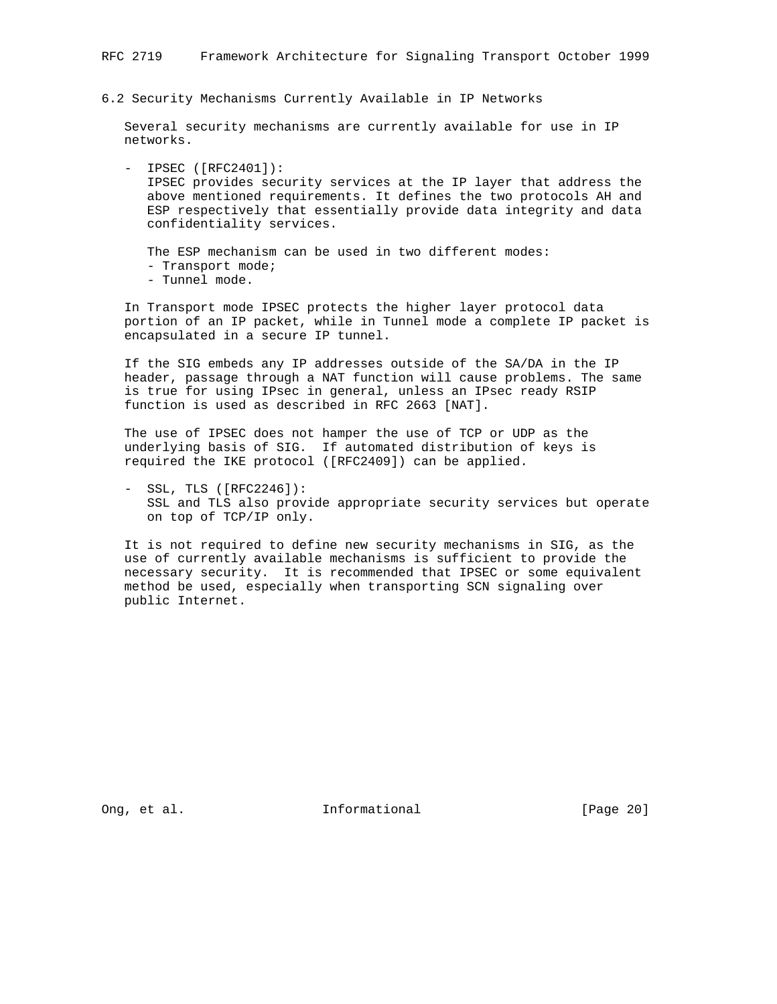6.2 Security Mechanisms Currently Available in IP Networks

 Several security mechanisms are currently available for use in IP networks.

 - IPSEC ([RFC2401]): IPSEC provides security services at the IP layer that address the above mentioned requirements. It defines the two protocols AH and ESP respectively that essentially provide data integrity and data confidentiality services.

 The ESP mechanism can be used in two different modes: - Transport mode; - Tunnel mode.

 In Transport mode IPSEC protects the higher layer protocol data portion of an IP packet, while in Tunnel mode a complete IP packet is encapsulated in a secure IP tunnel.

 If the SIG embeds any IP addresses outside of the SA/DA in the IP header, passage through a NAT function will cause problems. The same is true for using IPsec in general, unless an IPsec ready RSIP function is used as described in RFC 2663 [NAT].

 The use of IPSEC does not hamper the use of TCP or UDP as the underlying basis of SIG. If automated distribution of keys is required the IKE protocol ([RFC2409]) can be applied.

 - SSL, TLS ([RFC2246]): SSL and TLS also provide appropriate security services but operate on top of TCP/IP only.

 It is not required to define new security mechanisms in SIG, as the use of currently available mechanisms is sufficient to provide the necessary security. It is recommended that IPSEC or some equivalent method be used, especially when transporting SCN signaling over public Internet.

Ong, et al. 1000 and 1000 and 1000 and 1000 and 1000 and 1000 and 1000 and 1000 and 1000 and 1000 and 1000 and 1000 and 1000 and 1000 and 1000 and 1000 and 1000 and 1000 and 1000 and 1000 and 1000 and 1000 and 1000 and 100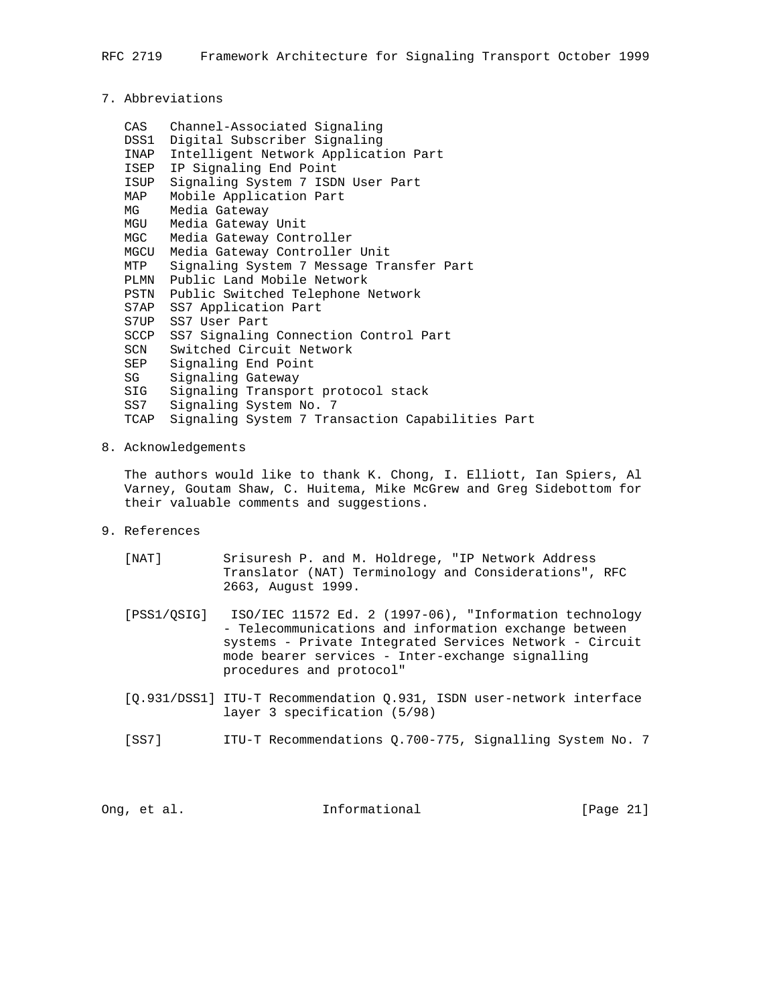## 7. Abbreviations

 CAS Channel-Associated Signaling DSS1 Digital Subscriber Signaling INAP Intelligent Network Application Part ISEP IP Signaling End Point ISUP Signaling System 7 ISDN User Part MAP Mobile Application Part MG Media Gateway MGU Media Gateway Unit MGC Media Gateway Controller MGCU Media Gateway Controller Unit MTP Signaling System 7 Message Transfer Part PLMN Public Land Mobile Network PSTN Public Switched Telephone Network S7AP SS7 Application Part S7UP SS7 User Part SCCP SS7 Signaling Connection Control Part SCN Switched Circuit Network SEP Signaling End Point SG Signaling Gateway SIG Signaling Transport protocol stack SS7 Signaling System No. 7 TCAP Signaling System 7 Transaction Capabilities Part

## 8. Acknowledgements

 The authors would like to thank K. Chong, I. Elliott, Ian Spiers, Al Varney, Goutam Shaw, C. Huitema, Mike McGrew and Greg Sidebottom for their valuable comments and suggestions.

9. References

| [ NAT ]     | Srisuresh P. and M. Holdrege, "IP Network Address<br>Translator (NAT) Terminology and Considerations", RFC<br>2663, August 1999.                                                                                                                           |
|-------------|------------------------------------------------------------------------------------------------------------------------------------------------------------------------------------------------------------------------------------------------------------|
| [PSS1/OSIG] | ISO/IEC 11572 Ed. 2 (1997-06), "Information technology<br>- Telecommunications and information exchange between<br>systems - Private Integrated Services Network - Circuit<br>mode bearer services - Inter-exchange signalling<br>procedures and protocol" |
|             | [Q.931/DSS1] ITU-T Recommendation Q.931, ISDN user-network interface<br>layer 3 specification (5/98)                                                                                                                                                       |

[SS7] ITU-T Recommendations Q.700-775, Signalling System No. 7

Ong, et al. **Informational** [Page 21]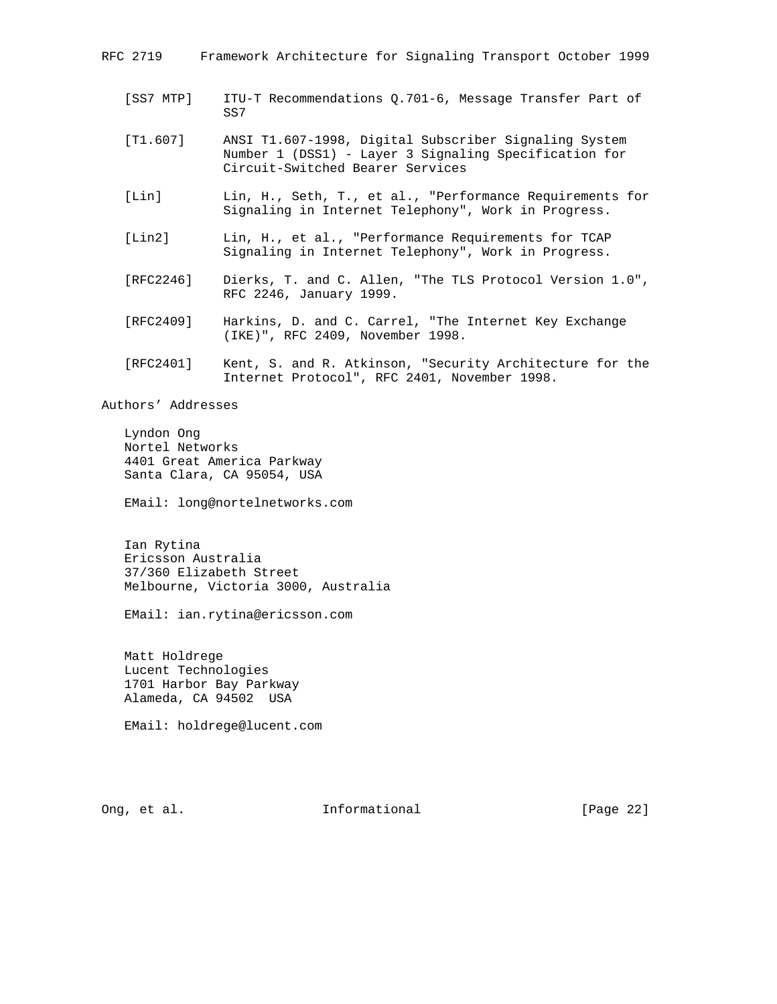| RFC 2719   | Framework Architecture for Signaling Transport October 1999    |
|------------|----------------------------------------------------------------|
| [SS7 MTP]  | ITU-T Recommendations 0.701-6, Message Transfer Part of<br>SS7 |
| FT1 6071 - | ANST T1 607-1998 Digital Subscriber Signaling System           |

- [T1.607] ANSI T1.607-1998, Digital Subscriber Signaling System Number 1 (DSS1) - Layer 3 Signaling Specification for Circuit-Switched Bearer Services
- [Lin] Lin, H., Seth, T., et al., "Performance Requirements for Signaling in Internet Telephony", Work in Progress.
- [Lin2] Lin, H., et al., "Performance Requirements for TCAP Signaling in Internet Telephony", Work in Progress.
- [RFC2246] Dierks, T. and C. Allen, "The TLS Protocol Version 1.0", RFC 2246, January 1999.
- [RFC2409] Harkins, D. and C. Carrel, "The Internet Key Exchange (IKE)", RFC 2409, November 1998.
- [RFC2401] Kent, S. and R. Atkinson, "Security Architecture for the Internet Protocol", RFC 2401, November 1998.

Authors' Addresses

 Lyndon Ong Nortel Networks 4401 Great America Parkway Santa Clara, CA 95054, USA

EMail: long@nortelnetworks.com

 Ian Rytina Ericsson Australia 37/360 Elizabeth Street Melbourne, Victoria 3000, Australia

EMail: ian.rytina@ericsson.com

 Matt Holdrege Lucent Technologies 1701 Harbor Bay Parkway Alameda, CA 94502 USA

EMail: holdrege@lucent.com

Ong, et al. **Informational** [Page 22]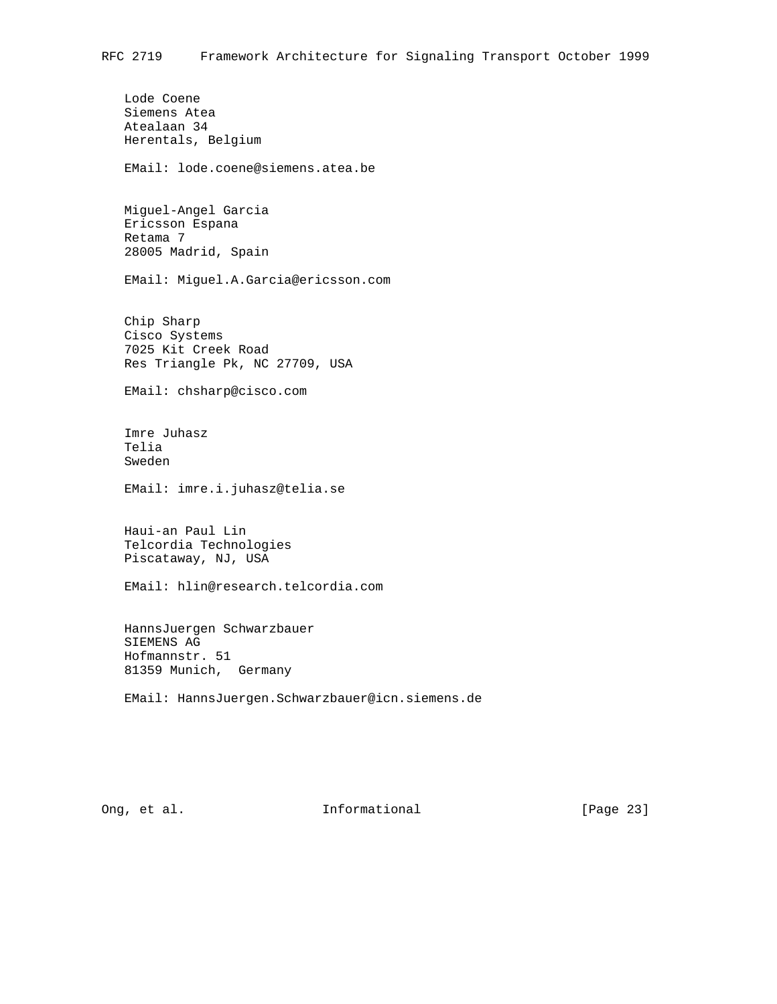Lode Coene Siemens Atea Atealaan 34 Herentals, Belgium EMail: lode.coene@siemens.atea.be Miguel-Angel Garcia Ericsson Espana Retama 7 28005 Madrid, Spain EMail: Miguel.A.Garcia@ericsson.com Chip Sharp Cisco Systems 7025 Kit Creek Road Res Triangle Pk, NC 27709, USA EMail: chsharp@cisco.com Imre Juhasz Telia Sweden EMail: imre.i.juhasz@telia.se Haui-an Paul Lin Telcordia Technologies Piscataway, NJ, USA EMail: hlin@research.telcordia.com HannsJuergen Schwarzbauer SIEMENS AG Hofmannstr. 51 81359 Munich, Germany EMail: HannsJuergen.Schwarzbauer@icn.siemens.de

Ong, et al. **Informational** [Page 23]